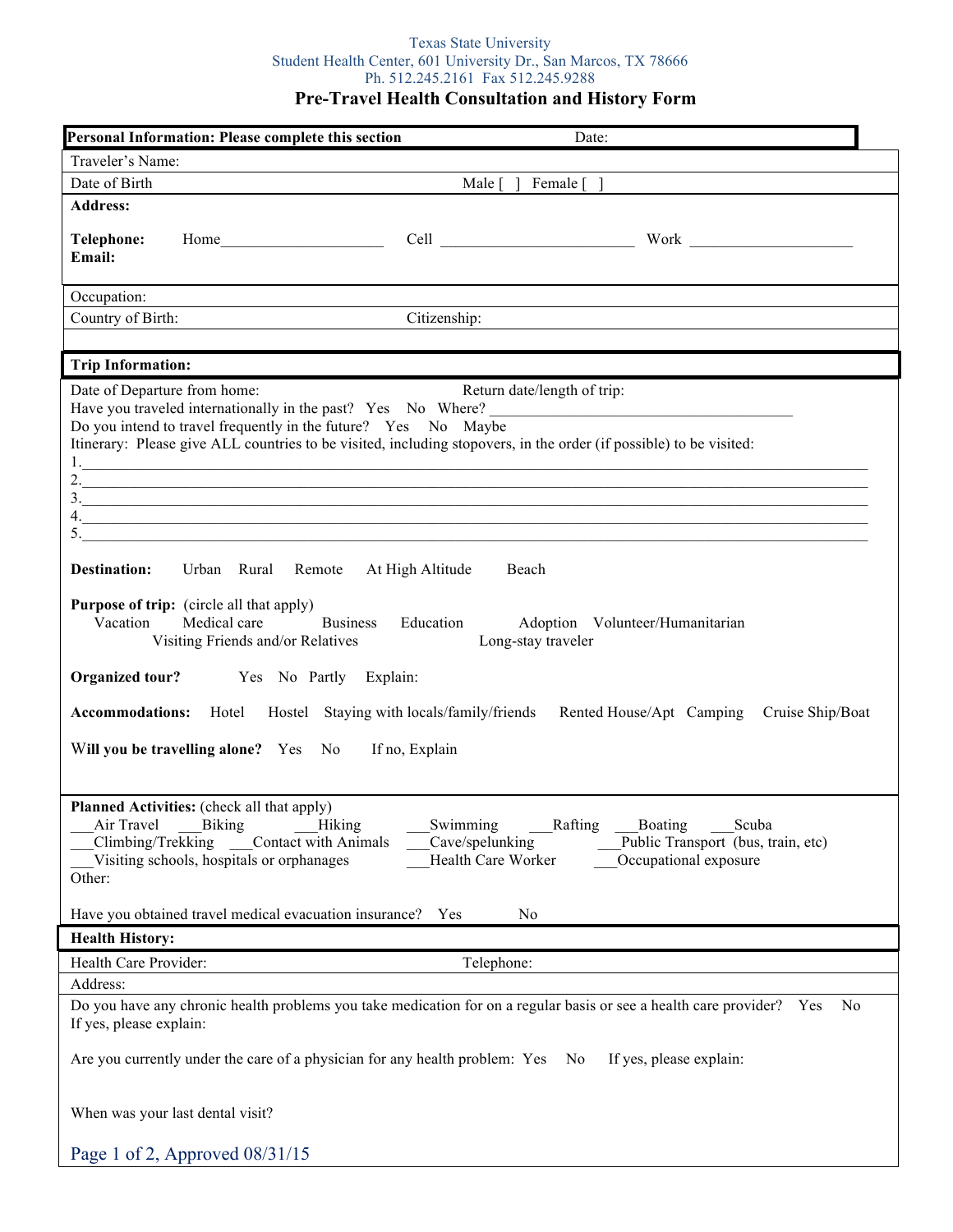# Texas State University Student Health Center, 601 University Dr., San Marcos, TX 78666 Ph. 512.245.2161 Fax 512.245.9288

**Pre-Travel Health Consultation and History Form**

|                                                                                                                                                                                                                                                                                                                          | Personal Information: Please complete this section                                                                                                                                         |                                                 | Date:                                                                                                                       |
|--------------------------------------------------------------------------------------------------------------------------------------------------------------------------------------------------------------------------------------------------------------------------------------------------------------------------|--------------------------------------------------------------------------------------------------------------------------------------------------------------------------------------------|-------------------------------------------------|-----------------------------------------------------------------------------------------------------------------------------|
| Traveler's Name:                                                                                                                                                                                                                                                                                                         |                                                                                                                                                                                            |                                                 |                                                                                                                             |
| Date of Birth                                                                                                                                                                                                                                                                                                            |                                                                                                                                                                                            | Male $\lceil \ \rceil$ Female $\lceil \ \rceil$ |                                                                                                                             |
| <b>Address:</b>                                                                                                                                                                                                                                                                                                          |                                                                                                                                                                                            |                                                 |                                                                                                                             |
| Telephone:<br>Email:                                                                                                                                                                                                                                                                                                     |                                                                                                                                                                                            |                                                 |                                                                                                                             |
| Occupation:                                                                                                                                                                                                                                                                                                              |                                                                                                                                                                                            |                                                 |                                                                                                                             |
| Country of Birth:                                                                                                                                                                                                                                                                                                        |                                                                                                                                                                                            | Citizenship:                                    |                                                                                                                             |
|                                                                                                                                                                                                                                                                                                                          |                                                                                                                                                                                            |                                                 |                                                                                                                             |
| <b>Trip Information:</b>                                                                                                                                                                                                                                                                                                 |                                                                                                                                                                                            |                                                 |                                                                                                                             |
| Date of Departure from home:                                                                                                                                                                                                                                                                                             | Do you intend to travel frequently in the future? Yes No Maybe<br>Itinerary: Please give ALL countries to be visited, including stopovers, in the order (if possible) to be visited:<br>5. | Return date/length of trip:                     | 3.<br>4.                                                                                                                    |
| <b>Destination:</b>                                                                                                                                                                                                                                                                                                      | Urban Rural Remote At High Altitude                                                                                                                                                        | Beach                                           |                                                                                                                             |
| <b>Purpose of trip:</b> (circle all that apply)<br><b>Business</b><br>Vacation<br>Medical care<br>Education<br>Adoption Volunteer/Humanitarian<br>Visiting Friends and/or Relatives<br>Long-stay traveler                                                                                                                |                                                                                                                                                                                            |                                                 |                                                                                                                             |
| Organized tour?                                                                                                                                                                                                                                                                                                          | Yes No Partly Explain:                                                                                                                                                                     |                                                 |                                                                                                                             |
| <b>Accommodations:</b> Hotel Hostel Staying with locals/family/friends Rented House/Apt Camping<br>Cruise Ship/Boat<br>Will you be travelling alone? Yes No<br>If no, Explain                                                                                                                                            |                                                                                                                                                                                            |                                                 |                                                                                                                             |
|                                                                                                                                                                                                                                                                                                                          |                                                                                                                                                                                            |                                                 |                                                                                                                             |
| <b>Planned Activities:</b> (check all that apply)<br>Air Travel Biking Hiking<br>Swimming Rafting Boating Scuba<br>Climbing/Trekking Contact with Animals<br>Cave/spelunking<br>Public Transport (bus, train, etc)<br>Occupational exposure<br>Visiting schools, hospitals or orphanages<br>Health Care Worker<br>Other: |                                                                                                                                                                                            |                                                 |                                                                                                                             |
|                                                                                                                                                                                                                                                                                                                          | Have you obtained travel medical evacuation insurance? Yes                                                                                                                                 | N <sub>0</sub>                                  |                                                                                                                             |
| <b>Health History:</b>                                                                                                                                                                                                                                                                                                   |                                                                                                                                                                                            |                                                 |                                                                                                                             |
| Health Care Provider:                                                                                                                                                                                                                                                                                                    |                                                                                                                                                                                            | Telephone:                                      |                                                                                                                             |
| Address:                                                                                                                                                                                                                                                                                                                 |                                                                                                                                                                                            |                                                 |                                                                                                                             |
| If yes, please explain:                                                                                                                                                                                                                                                                                                  |                                                                                                                                                                                            |                                                 | Do you have any chronic health problems you take medication for on a regular basis or see a health care provider? Yes<br>No |
| Are you currently under the care of a physician for any health problem: Yes No<br>If yes, please explain:                                                                                                                                                                                                                |                                                                                                                                                                                            |                                                 |                                                                                                                             |
| When was your last dental visit?                                                                                                                                                                                                                                                                                         |                                                                                                                                                                                            |                                                 |                                                                                                                             |
|                                                                                                                                                                                                                                                                                                                          | Page 1 of 2, Approved 08/31/15                                                                                                                                                             |                                                 |                                                                                                                             |
|                                                                                                                                                                                                                                                                                                                          |                                                                                                                                                                                            |                                                 |                                                                                                                             |